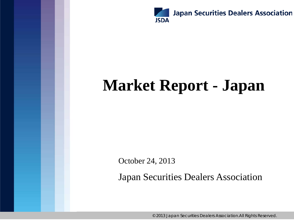

# **Market Report - Japan**

October 24, 2013

Japan Securities Dealers Association

© 2013 Japan Securities Dealers Association.All Rights Reserved.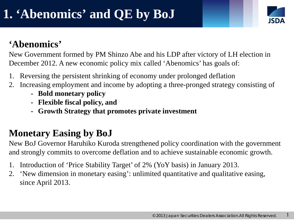1

#### **'Abenomics'**

New Government formed by PM Shinzo Abe and his LDP after victory of LH election in December 2012. A new economic policy mix called 'Abenomics' has goals of:

- 1. Reversing the persistent shrinking of economy under prolonged deflation
- 2. Increasing employment and income by adopting a three-pronged strategy consisting of
	- **- Bold monetary policy**
	- **- Flexible fiscal policy, and**
	- **- Growth Strategy that promotes private investment**

### **Monetary Easing by BoJ**

New BoJ Governor Haruhiko Kuroda strengthened policy coordination with the government and strongly commits to overcome deflation and to achieve sustainable economic growth.

- 1. Introduction of 'Price Stability Target' of 2% (YoY basis) in January 2013.
- 2. 'New dimension in monetary easing': unlimited quantitative and qualitative easing, since April 2013.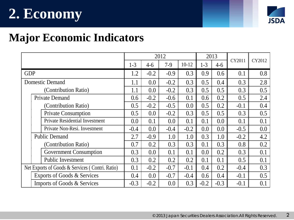# **2. Economy**



### **Major Economic Indicators**

|                                                 | 2012    |        |        |         | 2013    |        | CY2011 |        |
|-------------------------------------------------|---------|--------|--------|---------|---------|--------|--------|--------|
|                                                 | $1 - 3$ | $4-6$  | $7-9$  | $10-12$ | $1 - 3$ | $4-6$  |        | CY2012 |
| <b>GDP</b>                                      | 1.2     | $-0.2$ | $-0.9$ | 0.3     | 0.9     | 0.6    | 0.1    | 0.8    |
| <b>Domestic Demand</b>                          | 1.1     | 0.0    | $-0.2$ | 0.3     | 0.5     | 0.4    | 0.3    | 2.8    |
| (Contribution Ratio)                            | 1.1     | 0.0    | $-0.2$ | 0.3     | 0.5     | 0.5    | 0.3    | 0.5    |
| <b>Private Demand</b>                           | 0.6     | $-0.2$ | $-0.6$ | 0.1     | 0.6     | 0.2    | 0.5    | 2.4    |
| (Contribution Ratio)                            | 0.5     | $-0.2$ | $-0.5$ | 0.0     | 0.5     | 0.2    | $-0.1$ | 0.4    |
| <b>Private Consumption</b>                      | 0.5     | 0.0    | $-0.2$ | 0.3     | 0.5     | 0.5    | 0.3    | 0.5    |
| <b>Private Residential Investment</b>           | 0.0     | 0.1    | 0.0    | 0.1     | 0.1     | 0.0    | 0.1    | 0.1    |
| Private Non-Resi. Investment                    | $-0.4$  | 0.0    | $-0.4$ | $-0.2$  | 0.0     | 0.0    | $-0.5$ | 0.0    |
| <b>Public Demand</b>                            | 2.7     | $-0.9$ | 1.0    | 1.0     | 0.3     | 1.0    | $-0.2$ | 4.2    |
| (Contribution Ratio)                            | 0.7     | 0.2    | 0.3    | 0.3     | 0.1     | 0.3    | 0.8    | 0.2    |
| <b>Government Consumption</b>                   | 0.3     | 0.0    | 0.1    | 0.1     | 0.0     | 0.2    | 0.3    | 0.1    |
| <b>Public Investment</b>                        | 0.3     | 0.2    | 0.2    | 0.2     | 0.1     | 0.1    | 0.5    | 0.1    |
| Net Exports of Goods & Services (Contri. Ratio) | 0.1     | $-0.2$ | $-0.7$ | $-0.1$  | 0.4     | 0.2    | $-0.4$ | 0.3    |
| Exports of Goods & Services                     | 0.4     | 0.0    | $-0.7$ | $-0.4$  | 0.6     | 0.4    | $-0.1$ | 0.5    |
| Imports of Goods & Services                     | $-0.3$  | $-0.2$ | 0.0    | 0.3     | $-0.2$  | $-0.3$ | $-0.1$ | 0.1    |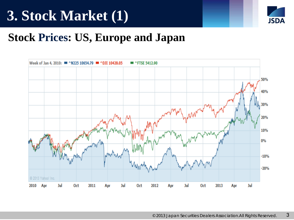

#### **Stock Prices: US, Europe and Japan**

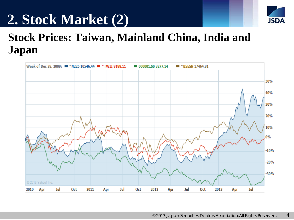# **2. Stock Market (2)**



## **Stock Prices: Taiwan, Mainland China, India and Japan**

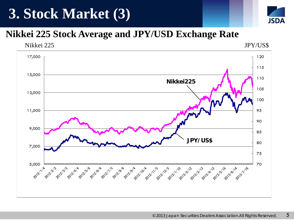## **3. Stock Market (3)**



#### **Nikkei 225 Stock Average and JPY/USD Exchange Rate**

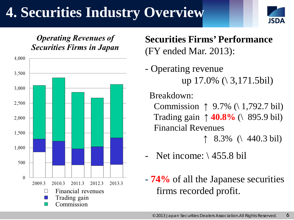# **4. Securities Industry Overview**





**Securities Firms' Performance** (FY ended Mar. 2013):

- Operating revenue up 17.0% (\ 3,171.5bil)

Breakdown:

Commission ↑  $9.7\%$  (\ 1,792.7 bil) Trading gain ↑ **40.8%** (\ 895.9 bil) Financial Revenues  $\uparrow$  8.3% (\ 440.3 bil)

Net income:  $\setminus$  455.8 bil

- **74%** of all the Japanese securities firms recorded profit.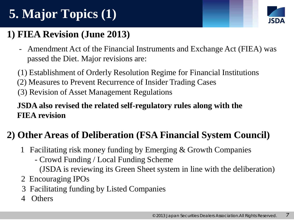# **5. Major Topics (1)**



#### **1) FIEA Revision (June 2013)**

- Amendment Act of the Financial Instruments and Exchange Act (FIEA) was passed the Diet. Major revisions are:
- (1) Establishment of Orderly Resolution Regime for Financial Institutions
- (2) Measures to Prevent Recurrence of Insider Trading Cases
- (3) Revision of Asset Management Regulations

#### **JSDA also revised the related self-regulatory rules along with the FIEA revision**

#### **2) Other Areas of Deliberation (FSA Financial System Council)**

- 1 Facilitating risk money funding by Emerging & Growth Companies
	- Crowd Funding / Local Funding Scheme
		- (JSDA is reviewing its Green Sheet system in line with the deliberation)
- 2 Encouraging IPOs
- 3 Facilitating funding by Listed Companies
- 4 Others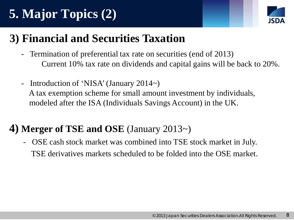# **5. Major Topics (2)**



## **3) Financial and Securities Taxation**

- Termination of preferential tax rate on securities (end of 2013) Current 10% tax rate on dividends and capital gains will be back to 20%.
- Introduction of 'NISA' (January 2014~) A tax exemption scheme for small amount investment by individuals, modeled after the ISA (Individuals Savings Account) in the UK.

#### **4) Merger of TSE and OSE** (January 2013~)

OSE cash stock market was combined into TSE stock market in July. TSE derivatives markets scheduled to be folded into the OSE market.